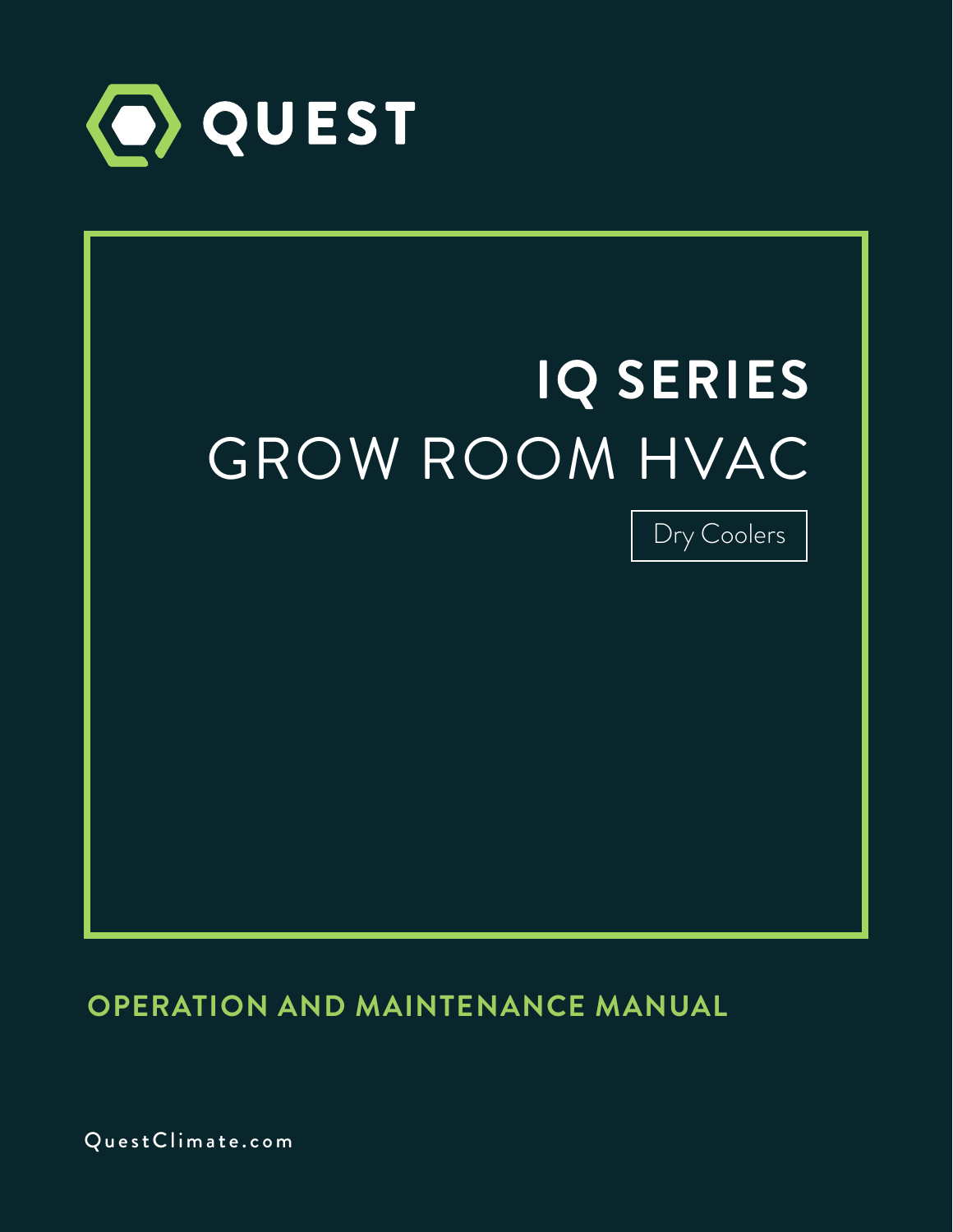

# Dry Coolers  **IQ SERIES** GROW ROOM HVAC

**OPERATION AND MAINTENANCE MANUAL**

QuestClimate.com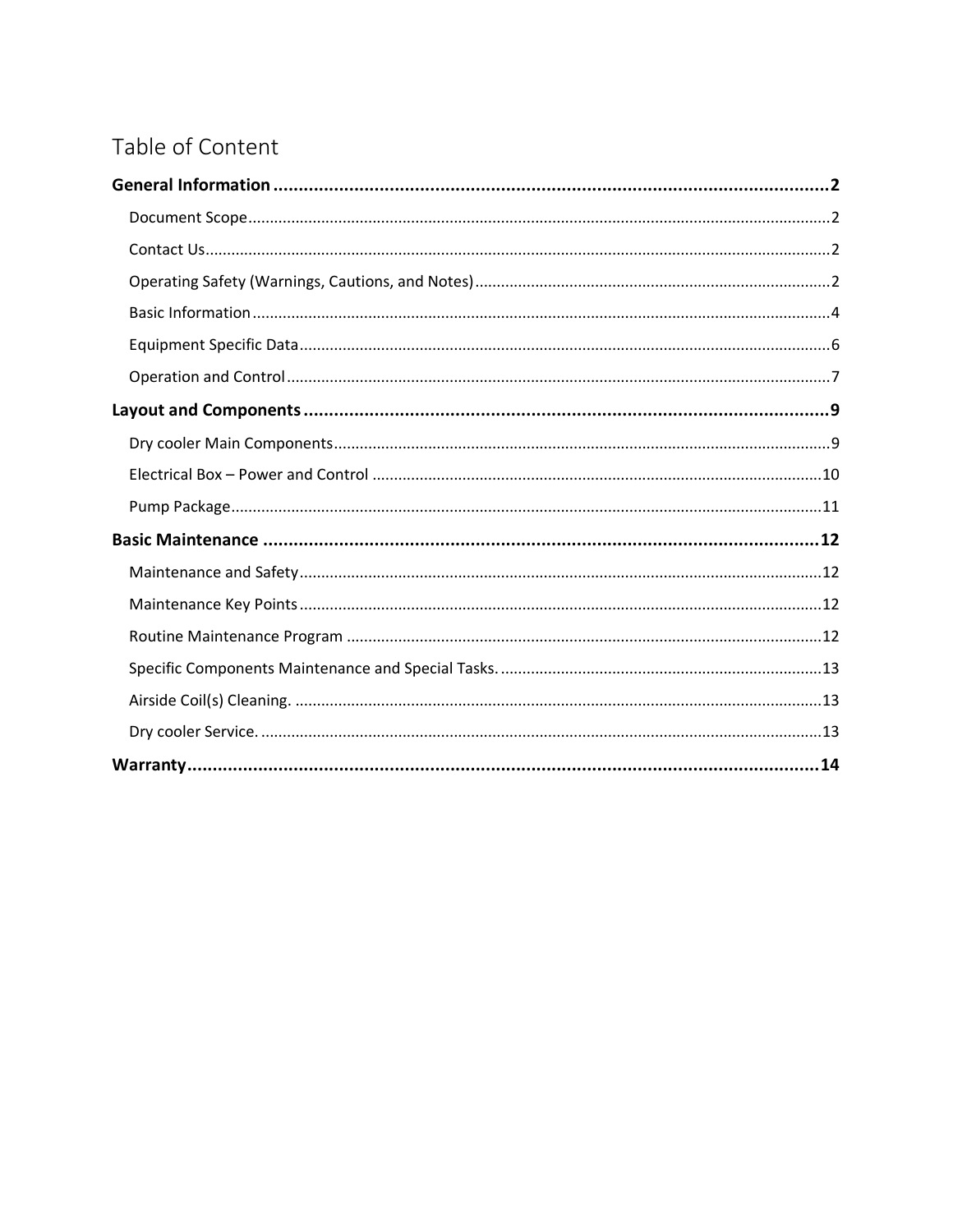# Table of Content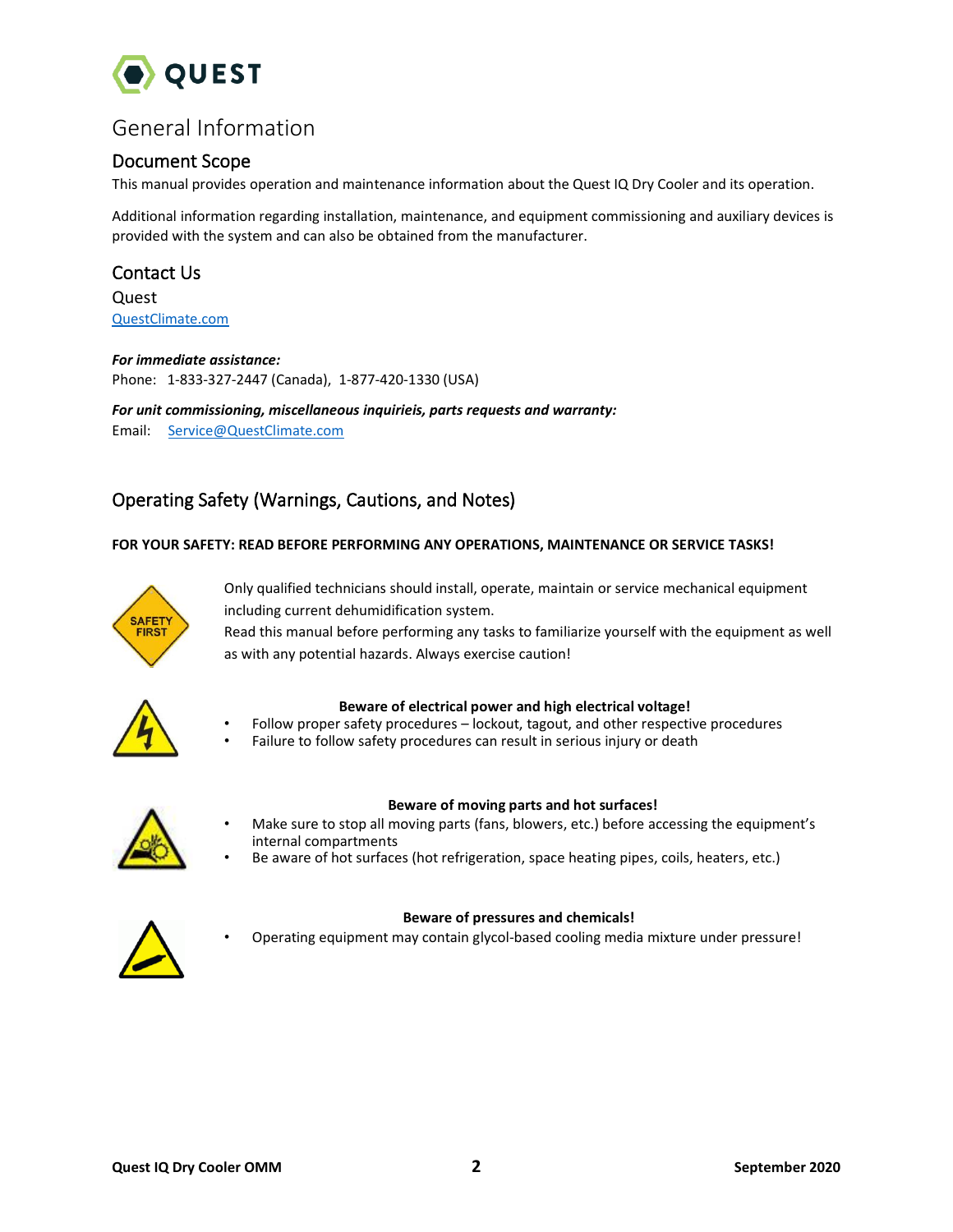

# <span id="page-2-0"></span>General Information

# <span id="page-2-1"></span>Document Scope

This manual provides operation and maintenance information about the Quest IQ Dry Cooler and its operation.

Additional information regarding installation, maintenance, and equipment commissioning and auxiliary devices is provided with the system and can also be obtained from the manufacturer.

# <span id="page-2-2"></span>Contact Us

**Quest** [QuestClimate.com](http://questclimate.com/)

### *For immediate assistance:*

Phone: 1-833-327-2447 (Canada), 1-877-420-1330 (USA)

*For unit commissioning, miscellaneous inquirieis, parts requests and warranty:*  Email: [Service@QuestClimate.com](mailto:Service@QuestClimate.com)

# <span id="page-2-3"></span>Operating Safety (Warnings, Cautions, and Notes)

### **FOR YOUR SAFETY: READ BEFORE PERFORMING ANY OPERATIONS, MAINTENANCE OR SERVICE TASKS!**



Only qualified technicians should install, operate, maintain or service mechanical equipment including current dehumidification system.

Read this manual before performing any tasks to familiarize yourself with the equipment as well as with any potential hazards. Always exercise caution!



### **Beware of electrical power and high electrical voltage!**

- Follow proper safety procedures lockout, tagout, and other respective procedures
- Failure to follow safety procedures can result in serious injury or death



### **Beware of moving parts and hot surfaces!**

- Make sure to stop all moving parts (fans, blowers, etc.) before accessing the equipment's internal compartments
- Be aware of hot surfaces (hot refrigeration, space heating pipes, coils, heaters, etc.)



### **Beware of pressures and chemicals!**

• Operating equipment may contain glycol-based cooling media mixture under pressure!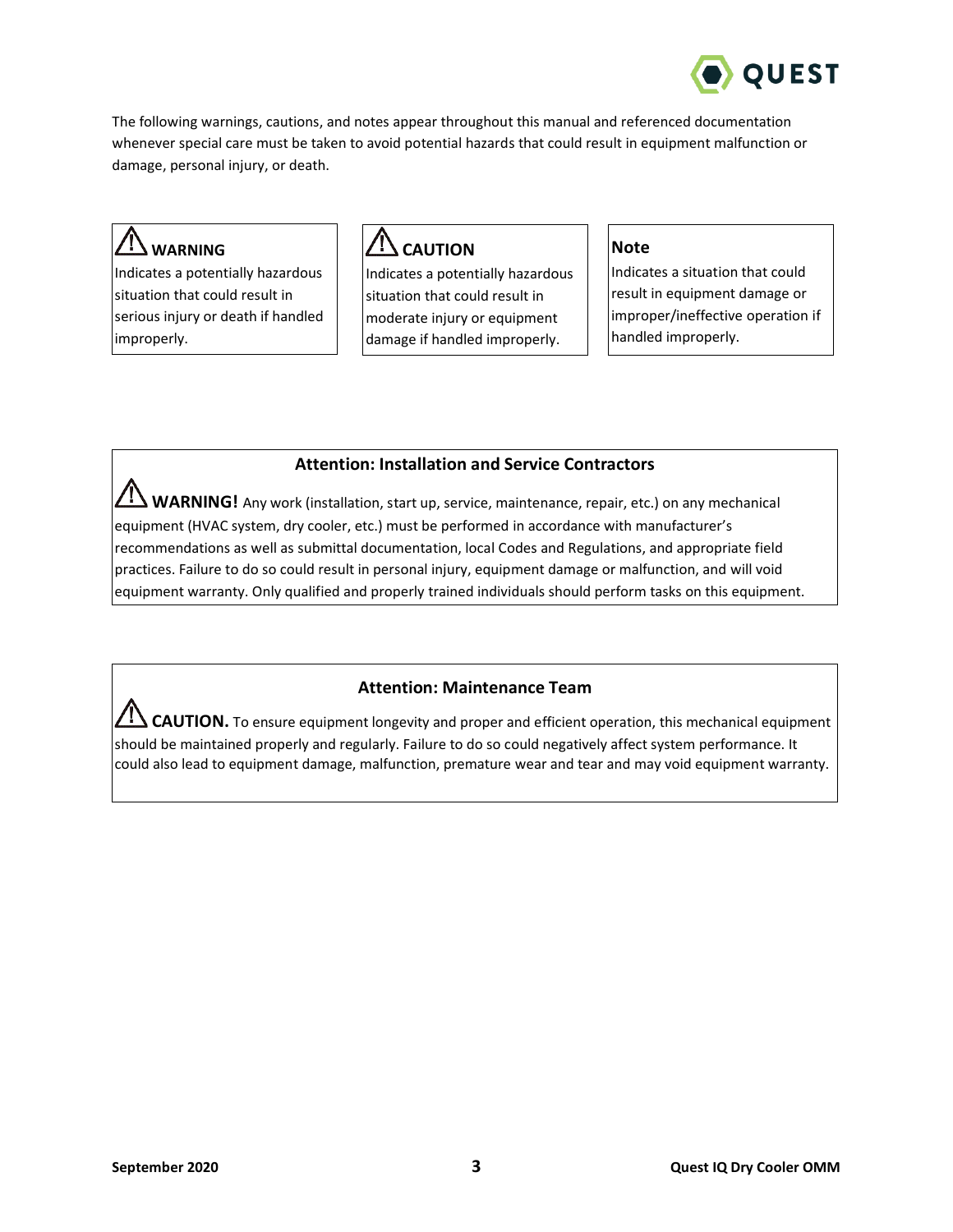

The following warnings, cautions, and notes appear throughout this manual and referenced documentation whenever special care must be taken to avoid potential hazards that could result in equipment malfunction or damage, personal injury, or death.

# **WARNING**

Indicates a potentially hazardous situation that could result in serious injury or death if handled improperly.

# **CAUTION**

Indicates a potentially hazardous situation that could result in moderate injury or equipment damage if handled improperly.

# **Note**

Indicates a situation that could result in equipment damage or improper/ineffective operation if handled improperly.

# **Attention: Installation and Service Contractors**

**WARNING!** Any work (installation, start up, service, maintenance, repair, etc.) on any mechanical equipment (HVAC system, dry cooler, etc.) must be performed in accordance with manufacturer's recommendations as well as submittal documentation, local Codes and Regulations, and appropriate field practices. Failure to do so could result in personal injury, equipment damage or malfunction, and will void equipment warranty. Only qualified and properly trained individuals should perform tasks on this equipment.

# **Attention: Maintenance Team**

CAUTION. To ensure equipment longevity and proper and efficient operation, this mechanical equipment should be maintained properly and regularly. Failure to do so could negatively affect system performance. It could also lead to equipment damage, malfunction, premature wear and tear and may void equipment warranty.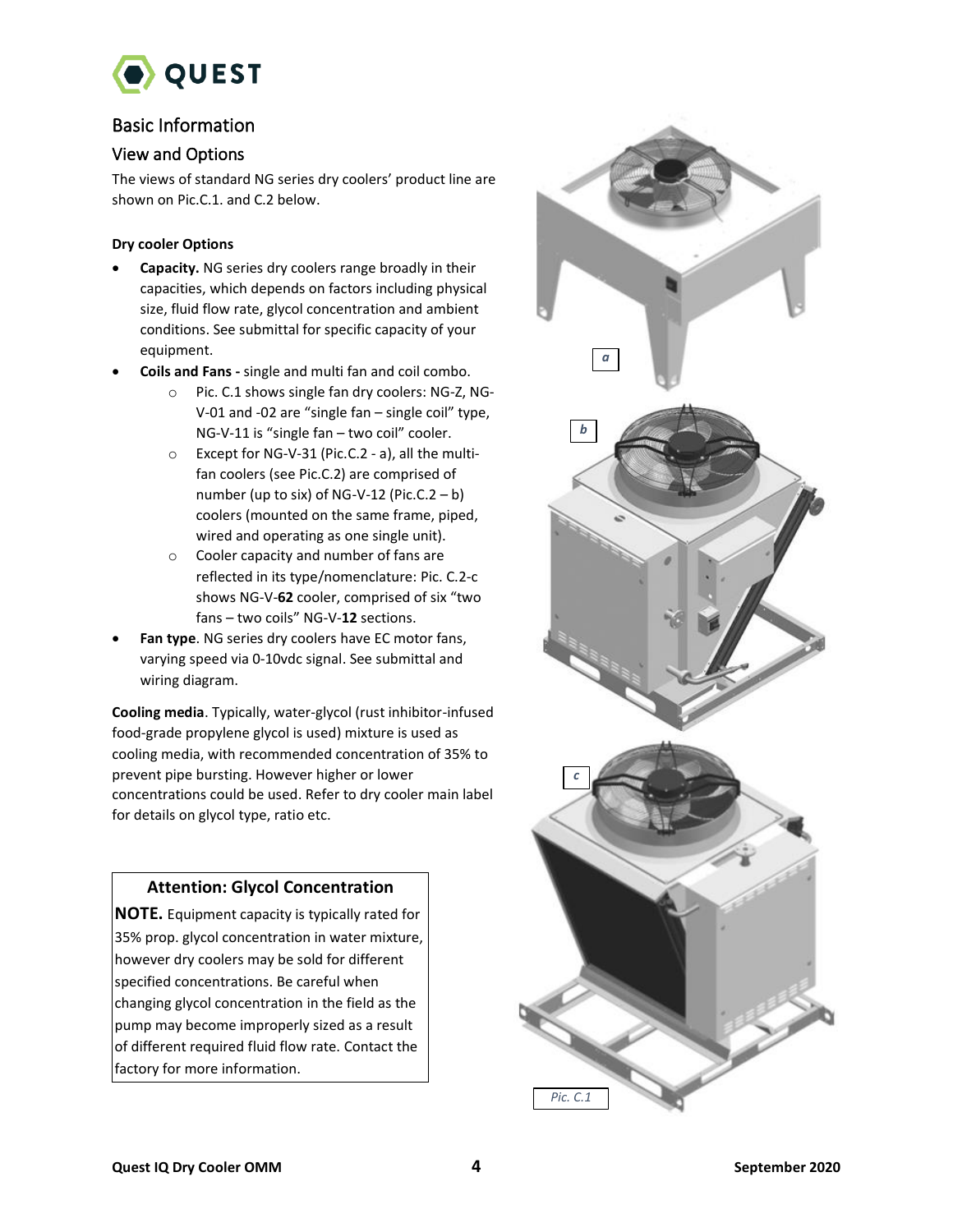

# <span id="page-4-0"></span>Basic Information

# View and Options

The views of standard NG series dry coolers' product line are shown on Pic.C.1. and C.2 below.

## **Dry cooler Options**

- **Capacity.** NG series dry coolers range broadly in their capacities, which depends on factors including physical size, fluid flow rate, glycol concentration and ambient conditions. See submittal for specific capacity of your equipment.
- **Coils and Fans -** single and multi fan and coil combo.
	- o Pic. C.1 shows single fan dry coolers: NG-Z, NG-V-01 and -02 are "single fan – single coil" type, NG-V-11 is "single fan – two coil" cooler.
	- o Except for NG-V-31 (Pic.C.2 a), all the multifan coolers (see Pic.C.2) are comprised of number (up to six) of NG-V-12 (Pic.C.2  $- b$ ) coolers (mounted on the same frame, piped, wired and operating as one single unit).
	- o Cooler capacity and number of fans are reflected in its type/nomenclature: Pic. C.2-c shows NG-V-**62** cooler, comprised of six "two fans – two coils" NG-V-**12** sections.
- Fan type. NG series dry coolers have EC motor fans, varying speed via 0-10vdc signal. See submittal and wiring diagram.

**Cooling media**. Typically, water-glycol (rust inhibitor-infused food-grade propylene glycol is used) mixture is used as cooling media, with recommended concentration of 35% to prevent pipe bursting. However higher or lower concentrations could be used. Refer to dry cooler main label for details on glycol type, ratio etc.

# **Attention: Glycol Concentration**

**NOTE.** Equipment capacity is typically rated for 35% prop. glycol concentration in water mixture, however dry coolers may be sold for different specified concentrations. Be careful when changing glycol concentration in the field as the pump may become improperly sized as a result of different required fluid flow rate. Contact the factory for more information.

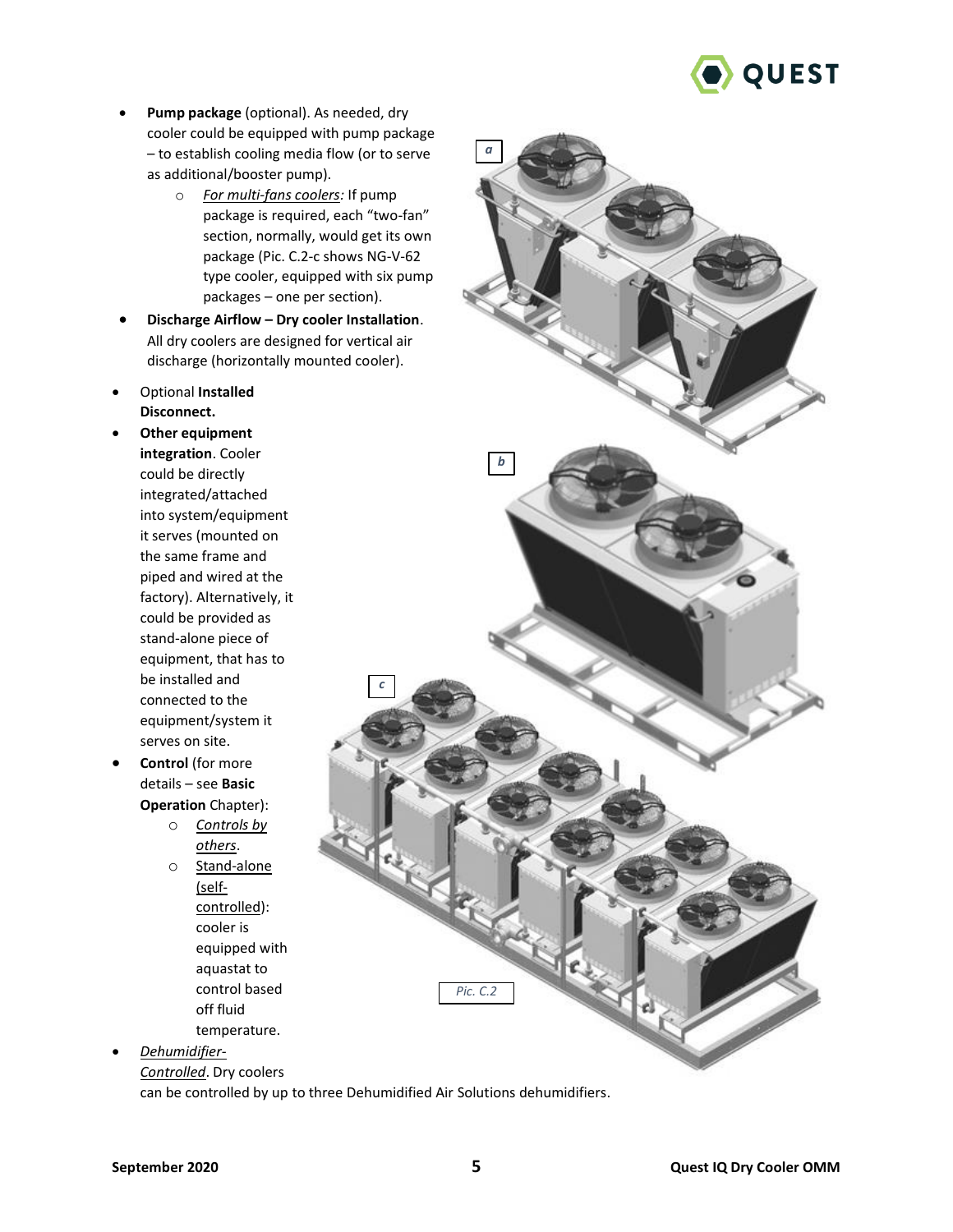

- **Pump package** (optional). As needed, dry cooler could be equipped with pump package – to establish cooling media flow (or to serve as additional/booster pump).
	- o *For multi-fans coolers:* If pump package is required, each "two-fan" section, normally, would get its own package (Pic. C.2-c shows NG-V-62 type cooler, equipped with six pump packages – one per section).
- **Discharge Airflow – Dry cooler Installation**. All dry coolers are designed for vertical air discharge (horizontally mounted cooler).
- Optional **Installed Disconnect.**
- **Other equipment integration**. Cooler could be directly integrated/attached into system/equipment it serves (mounted on the same frame and piped and wired at the factory). Alternatively, it could be provided as stand-alone piece of equipment, that has to be installed and connected to the equipment/system it serves on site.
- **Control** (for more details – see **Basic Operation** Chapter):
	- o *Controls by others*.
	- o Stand-alone (selfcontrolled): cooler is equipped with aquastat to control based off fluid temperature.
- *Dehumidifier-*

*Controlled*. Dry coolers can be controlled by up to three Dehumidified Air Solutions dehumidifiers.

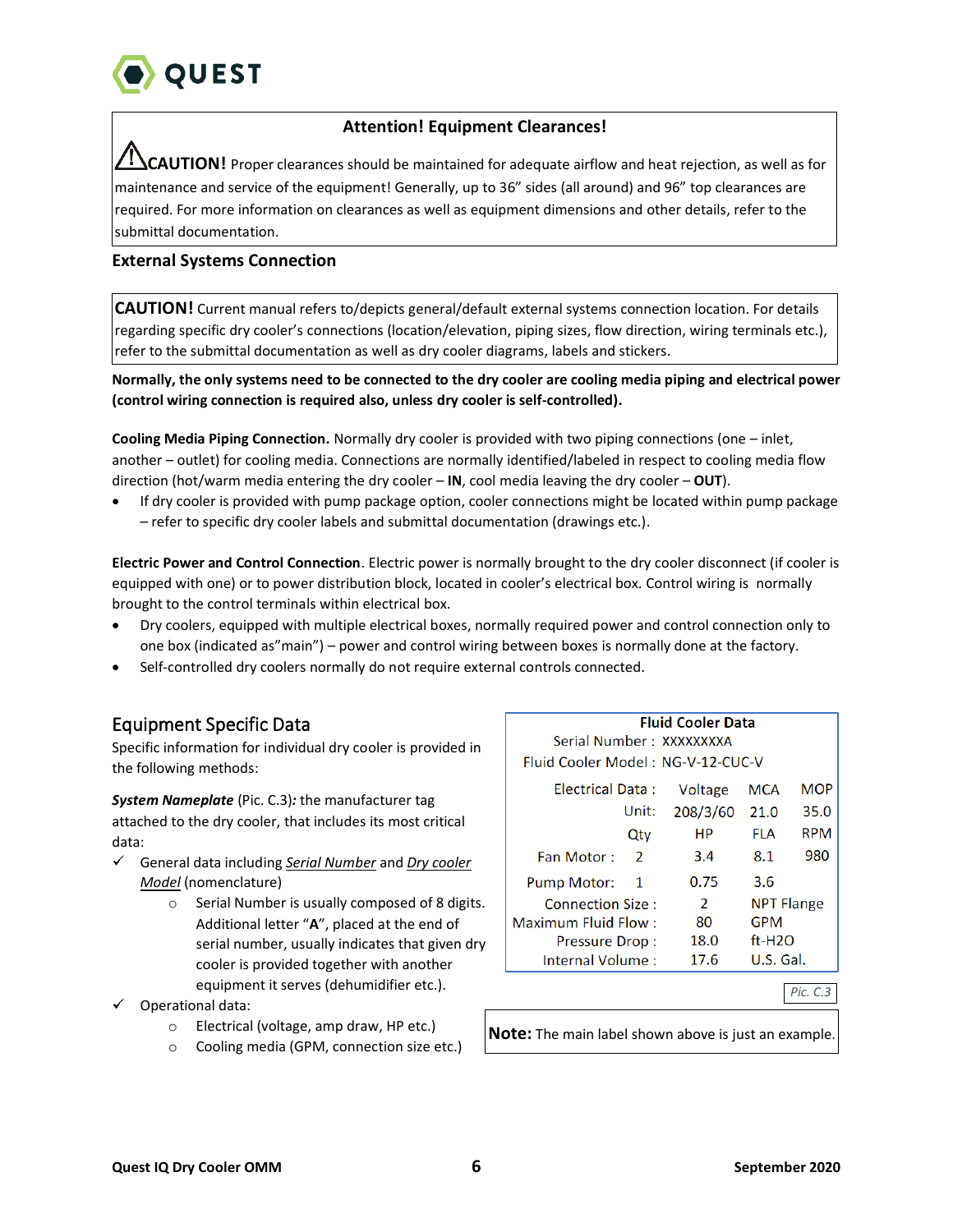

# **Attention! Equipment Clearances!**

**CAUTION!** Proper clearances should be maintained for adequate airflow and heat rejection, as well as for maintenance and service of the equipment! Generally, up to 36" sides (all around) and 96" top clearances are required. For more information on clearances as well as equipment dimensions and other details, refer to the submittal documentation.

# **External Systems Connection**

**CAUTION!** Current manual refers to/depicts general/default external systems connection location. For details regarding specific dry cooler's connections (location/elevation, piping sizes, flow direction, wiring terminals etc.), refer to the submittal documentation as well as dry cooler diagrams, labels and stickers.

**Normally, the only systems need to be connected to the dry cooler are cooling media piping and electrical power (control wiring connection is required also, unless dry cooler is self-controlled).**

**Cooling Media Piping Connection.** Normally dry cooler is provided with two piping connections (one – inlet, another – outlet) for cooling media. Connections are normally identified/labeled in respect to cooling media flow direction (hot/warm media entering the dry cooler – **IN**, cool media leaving the dry cooler – **OUT**).

• If dry cooler is provided with pump package option, cooler connections might be located within pump package – refer to specific dry cooler labels and submittal documentation (drawings etc.).

**Electric Power and Control Connection**. Electric power is normally brought to the dry cooler disconnect (if cooler is equipped with one) or to power distribution block, located in cooler's electrical box. Control wiring is normally brought to the control terminals within electrical box.

- Dry coolers, equipped with multiple electrical boxes, normally required power and control connection only to one box (indicated as"main") – power and control wiring between boxes is normally done at the factory.
- Self-controlled dry coolers normally do not require external controls connected.

# <span id="page-6-0"></span>Equipment Specific Data

Specific information for individual dry cooler is provided in the following methods:

*System Nameplate* (Pic. C.3)*:* the manufacturer tag attached to the dry cooler, that includes its most critical data:

- General data including *Serial Number* and *Dry cooler Model* (nomenclature)
	- o Serial Number is usually composed of 8 digits. Additional letter "**A**", placed at the end of serial number, usually indicates that given dry cooler is provided together with another equipment it serves (dehumidifier etc.).
- $\checkmark$  Operational data:
	- o Electrical (voltage, amp draw, HP etc.)
	- o Cooling media (GPM, connection size etc.)

|                                   |               | <b>Fluid Cooler Data</b><br>Serial Number: XXXXXXXXA |                   |            |  |  |
|-----------------------------------|---------------|------------------------------------------------------|-------------------|------------|--|--|
| Fluid Cooler Model: NG-V-12-CUC-V |               |                                                      |                   |            |  |  |
| Electrical Data:                  | Voltage       | <b>MCA</b>                                           | <b>MOP</b>        |            |  |  |
|                                   | Unit:         | 208/3/60                                             | 21.0              | 35.0       |  |  |
|                                   | Qty           | HР                                                   | <b>FLA</b>        | <b>RPM</b> |  |  |
| Fan Motor:                        | $\mathcal{P}$ | 3.4                                                  | 8.1               | 980        |  |  |
| <b>Pump Motor:</b>                | 1             | 0.75                                                 | 3.6               |            |  |  |
| Connection Size:                  |               | 2                                                    | <b>NPT Flange</b> |            |  |  |
| Maximum Fluid Flow:               | 80            | <b>GPM</b>                                           |                   |            |  |  |
| Pressure Drop:                    | 18.0          | $ft-H2O$                                             |                   |            |  |  |
| Internal Volume:                  | 17.6          | U.S. Gal.                                            |                   |            |  |  |

*Pic. C.3*

**Note:** The main label shown above is just an example.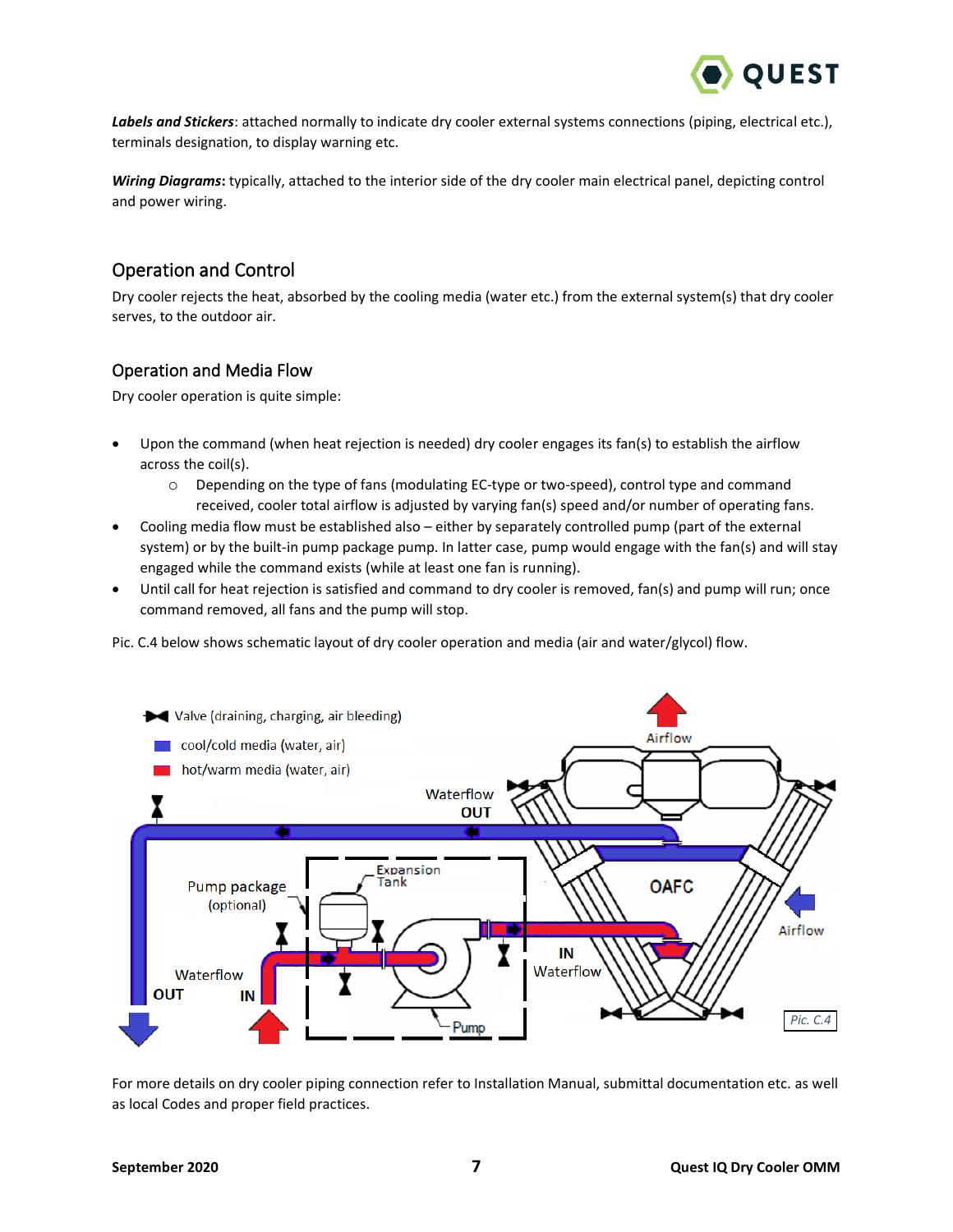

*Labels and Stickers*: attached normally to indicate dry cooler external systems connections (piping, electrical etc.), terminals designation, to display warning etc.

*Wiring Diagrams***:** typically, attached to the interior side of the dry cooler main electrical panel, depicting control and power wiring.

# <span id="page-7-0"></span>Operation and Control

Dry cooler rejects the heat, absorbed by the cooling media (water etc.) from the external system(s) that dry cooler serves, to the outdoor air.

# Operation and Media Flow

Dry cooler operation is quite simple:

- Upon the command (when heat rejection is needed) dry cooler engages its fan(s) to establish the airflow across the coil(s).
	- $\circ$  Depending on the type of fans (modulating EC-type or two-speed), control type and command received, cooler total airflow is adjusted by varying fan(s) speed and/or number of operating fans.
- Cooling media flow must be established also either by separately controlled pump (part of the external system) or by the built-in pump package pump. In latter case, pump would engage with the fan(s) and will stay engaged while the command exists (while at least one fan is running).
- Until call for heat rejection is satisfied and command to dry cooler is removed, fan(s) and pump will run; once command removed, all fans and the pump will stop.

Pic. C.4 below shows schematic layout of dry cooler operation and media (air and water/glycol) flow.



For more details on dry cooler piping connection refer to Installation Manual, submittal documentation etc. as well as local Codes and proper field practices.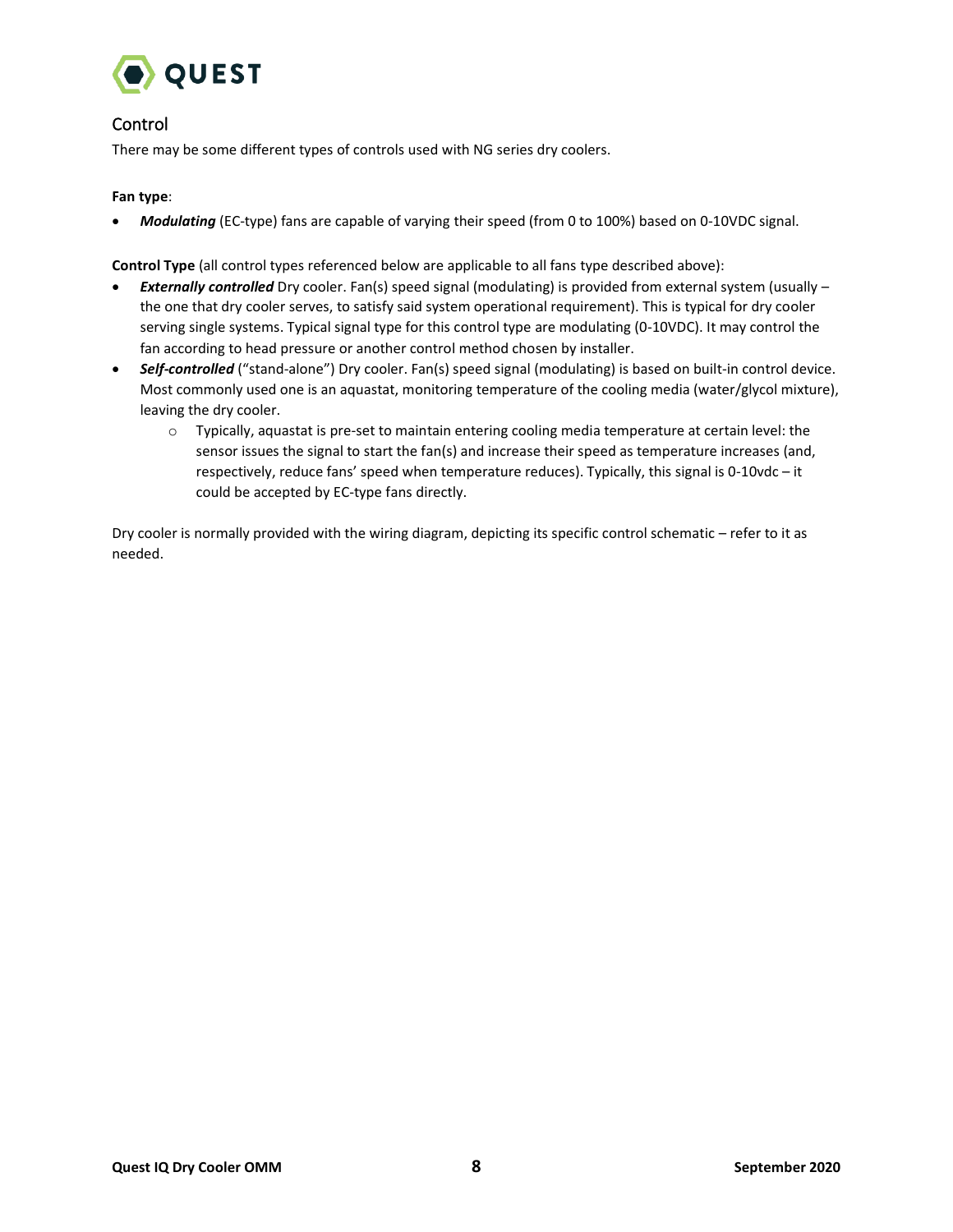

# Control

There may be some different types of controls used with NG series dry coolers.

### **Fan type**:

• *Modulating* (EC-type) fans are capable of varying their speed (from 0 to 100%) based on 0-10VDC signal.

**Control Type** (all control types referenced below are applicable to all fans type described above):

- *Externally controlled* Dry cooler. Fan(s) speed signal (modulating) is provided from external system (usually the one that dry cooler serves, to satisfy said system operational requirement). This is typical for dry cooler serving single systems. Typical signal type for this control type are modulating (0-10VDC). It may control the fan according to head pressure or another control method chosen by installer.
- *Self-controlled* ("stand-alone") Dry cooler. Fan(s) speed signal (modulating) is based on built-in control device. Most commonly used one is an aquastat, monitoring temperature of the cooling media (water/glycol mixture), leaving the dry cooler.
	- $\circ$  Typically, aquastat is pre-set to maintain entering cooling media temperature at certain level: the sensor issues the signal to start the fan(s) and increase their speed as temperature increases (and, respectively, reduce fans' speed when temperature reduces). Typically, this signal is 0-10vdc – it could be accepted by EC-type fans directly.

Dry cooler is normally provided with the wiring diagram, depicting its specific control schematic – refer to it as needed.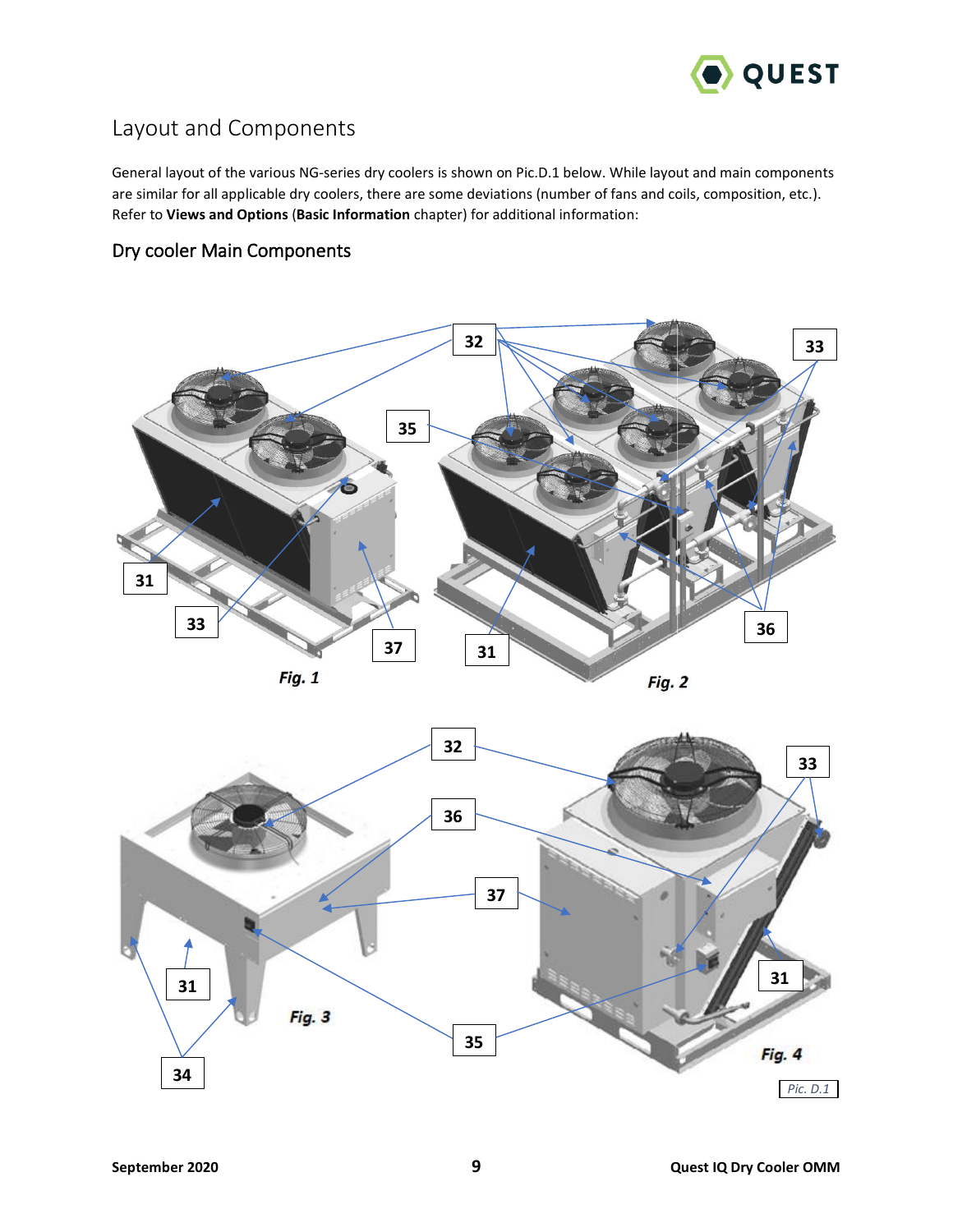

# <span id="page-9-0"></span>Layout and Components

General layout of the various NG-series dry coolers is shown on Pic.D.1 below. While layout and main components are similar for all applicable dry coolers, there are some deviations (number of fans and coils, composition, etc.). Refer to **Views and Options** (**Basic Information** chapter) for additional information:

# <span id="page-9-1"></span>Dry cooler Main Components



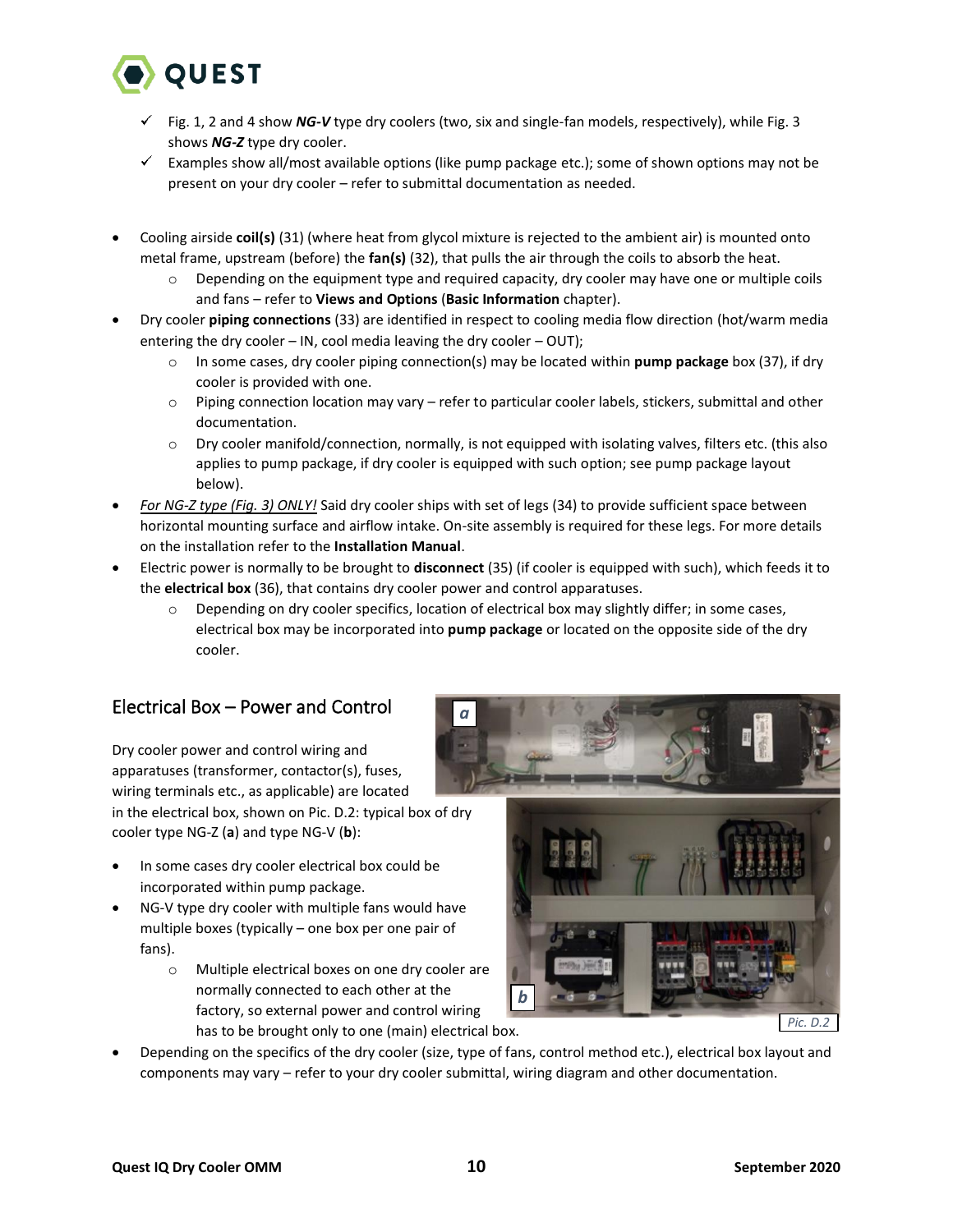

- Fig. 1, 2 and 4 show *NG-V* type dry coolers (two, six and single-fan models, respectively), while Fig. 3 shows *NG-Z* type dry cooler.
- $\checkmark$  Examples show all/most available options (like pump package etc.); some of shown options may not be present on your dry cooler – refer to submittal documentation as needed.
- Cooling airside **coil(s)** (31) (where heat from glycol mixture is rejected to the ambient air) is mounted onto metal frame, upstream (before) the **fan(s)** (32), that pulls the air through the coils to absorb the heat.
	- Depending on the equipment type and required capacity, dry cooler may have one or multiple coils and fans – refer to **Views and Options** (**Basic Information** chapter).
- Dry cooler **piping connections** (33) are identified in respect to cooling media flow direction (hot/warm media entering the dry cooler – IN, cool media leaving the dry cooler – OUT);
	- o In some cases, dry cooler piping connection(s) may be located within **pump package** box (37), if dry cooler is provided with one.
	- o Piping connection location may vary refer to particular cooler labels, stickers, submittal and other documentation.
	- $\circ$  Dry cooler manifold/connection, normally, is not equipped with isolating valves, filters etc. (this also applies to pump package, if dry cooler is equipped with such option; see pump package layout below).
- *For NG-Z type (Fig. 3) ONLY!* Said dry cooler ships with set of legs (34) to provide sufficient space between horizontal mounting surface and airflow intake. On-site assembly is required for these legs. For more details on the installation refer to the **Installation Manual**.
- Electric power is normally to be brought to **disconnect** (35) (if cooler is equipped with such), which feeds it to the **electrical box** (36), that contains dry cooler power and control apparatuses.

*a*

o Depending on dry cooler specifics, location of electrical box may slightly differ; in some cases, electrical box may be incorporated into **pump package** or located on the opposite side of the dry cooler.

# <span id="page-10-0"></span>Electrical Box – Power and Control

Dry cooler power and control wiring and apparatuses (transformer, contactor(s), fuses, wiring terminals etc., as applicable) are located in the electrical box, shown on Pic. D.2: typical box of dry cooler type NG-Z (**a**) and type NG-V (**b**):

- In some cases dry cooler electrical box could be incorporated within pump package.
- NG-V type dry cooler with multiple fans would have multiple boxes (typically – one box per one pair of fans).
	- o Multiple electrical boxes on one dry cooler are normally connected to each other at the factory, so external power and control wiring has to be brought only to one (main) electrical box.



• Depending on the specifics of the dry cooler (size, type of fans, control method etc.), electrical box layout and components may vary – refer to your dry cooler submittal, wiring diagram and other documentation.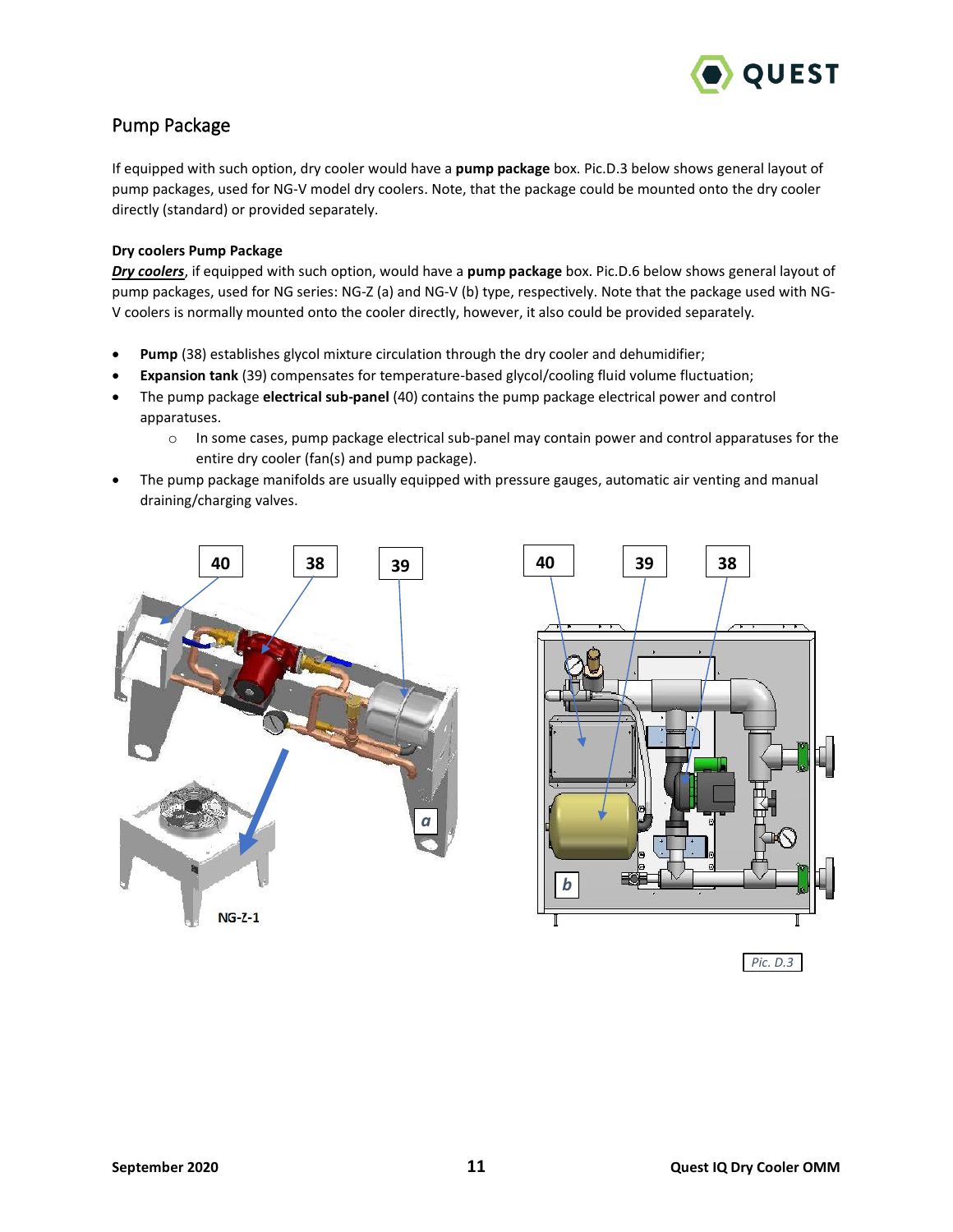

# <span id="page-11-0"></span>Pump Package

If equipped with such option, dry cooler would have a **pump package** box. Pic.D.3 below shows general layout of pump packages, used for NG-V model dry coolers. Note, that the package could be mounted onto the dry cooler directly (standard) or provided separately.

### **Dry coolers Pump Package**

*Dry coolers*, if equipped with such option, would have a **pump package** box. Pic.D.6 below shows general layout of pump packages, used for NG series: NG-Z (a) and NG-V (b) type, respectively. Note that the package used with NG-V coolers is normally mounted onto the cooler directly, however, it also could be provided separately*.*

- **Pump** (38) establishes glycol mixture circulation through the dry cooler and dehumidifier;
- **Expansion tank** (39) compensates for temperature-based glycol/cooling fluid volume fluctuation;
- The pump package **electrical sub-panel** (40) contains the pump package electrical power and control apparatuses.
	- $\circ$  In some cases, pump package electrical sub-panel may contain power and control apparatuses for the entire dry cooler (fan(s) and pump package).
- The pump package manifolds are usually equipped with pressure gauges, automatic air venting and manual draining/charging valves.



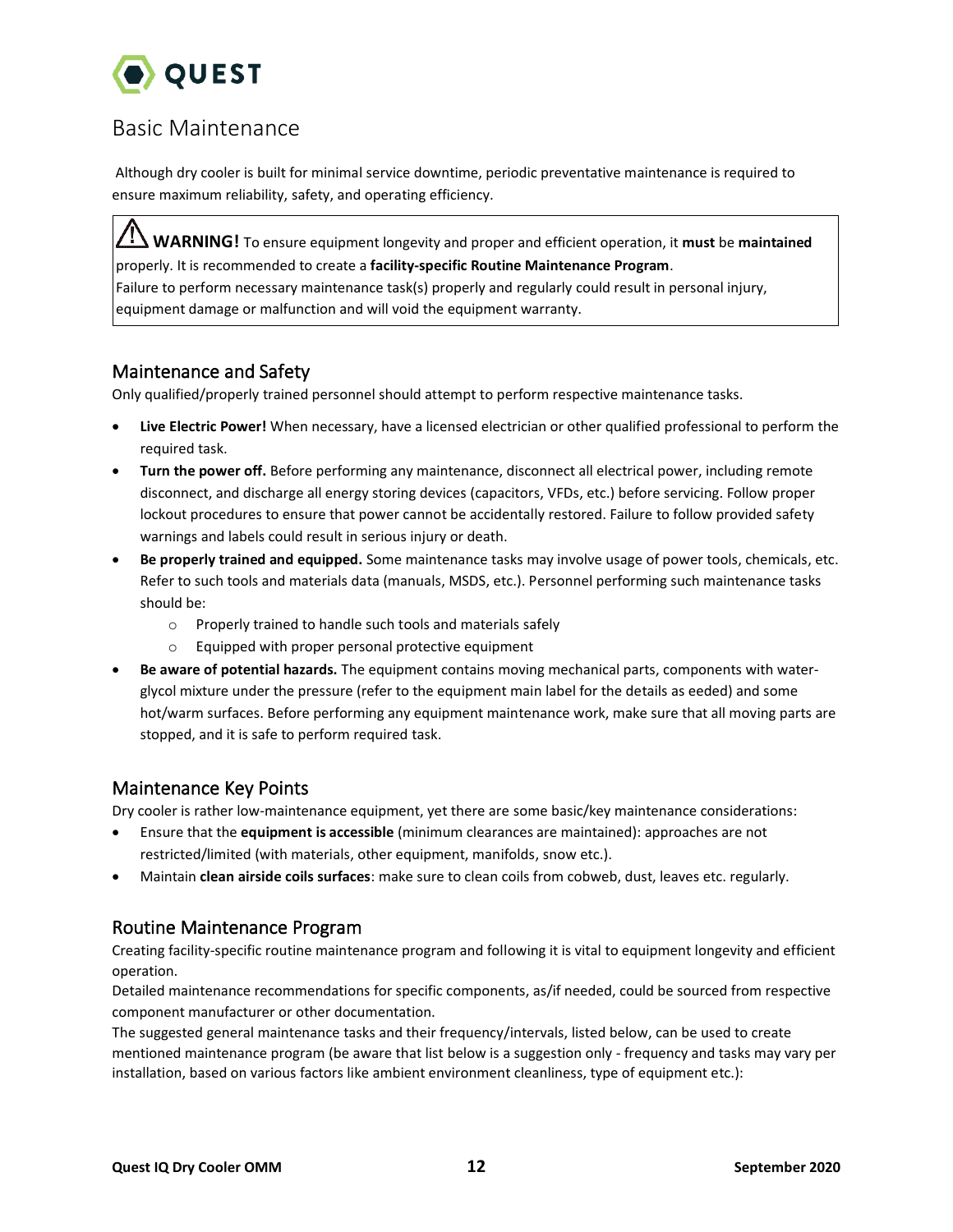

# <span id="page-12-0"></span>Basic Maintenance

Although dry cooler is built for minimal service downtime, periodic preventative maintenance is required to ensure maximum reliability, safety, and operating efficiency.

**WARNING!** To ensure equipment longevity and proper and efficient operation, it **must** be **maintained** properly. It is recommended to create a **facility-specific Routine Maintenance Program**. Failure to perform necessary maintenance task(s) properly and regularly could result in personal injury, equipment damage or malfunction and will void the equipment warranty.

# <span id="page-12-1"></span>Maintenance and Safety

Only qualified/properly trained personnel should attempt to perform respective maintenance tasks.

- **Live Electric Power!** When necessary, have a licensed electrician or other qualified professional to perform the required task.
- **Turn the power off.** Before performing any maintenance, disconnect all electrical power, including remote disconnect, and discharge all energy storing devices (capacitors, VFDs, etc.) before servicing. Follow proper lockout procedures to ensure that power cannot be accidentally restored. Failure to follow provided safety warnings and labels could result in serious injury or death.
- **Be properly trained and equipped.** Some maintenance tasks may involve usage of power tools, chemicals, etc. Refer to such tools and materials data (manuals, MSDS, etc.). Personnel performing such maintenance tasks should be:
	- o Properly trained to handle such tools and materials safely
	- o Equipped with proper personal protective equipment
- **Be aware of potential hazards.** The equipment contains moving mechanical parts, components with waterglycol mixture under the pressure (refer to the equipment main label for the details as eeded) and some hot/warm surfaces. Before performing any equipment maintenance work, make sure that all moving parts are stopped, and it is safe to perform required task.

# <span id="page-12-2"></span>Maintenance Key Points

Dry cooler is rather low-maintenance equipment, yet there are some basic/key maintenance considerations:

- Ensure that the **equipment is accessible** (minimum clearances are maintained): approaches are not restricted/limited (with materials, other equipment, manifolds, snow etc.).
- Maintain **clean airside coils surfaces**: make sure to clean coils from cobweb, dust, leaves etc. regularly.

# <span id="page-12-3"></span>Routine Maintenance Program

Creating facility-specific routine maintenance program and following it is vital to equipment longevity and efficient operation.

Detailed maintenance recommendations for specific components, as/if needed, could be sourced from respective component manufacturer or other documentation.

The suggested general maintenance tasks and their frequency/intervals, listed below, can be used to create mentioned maintenance program (be aware that list below is a suggestion only - frequency and tasks may vary per installation, based on various factors like ambient environment cleanliness, type of equipment etc.):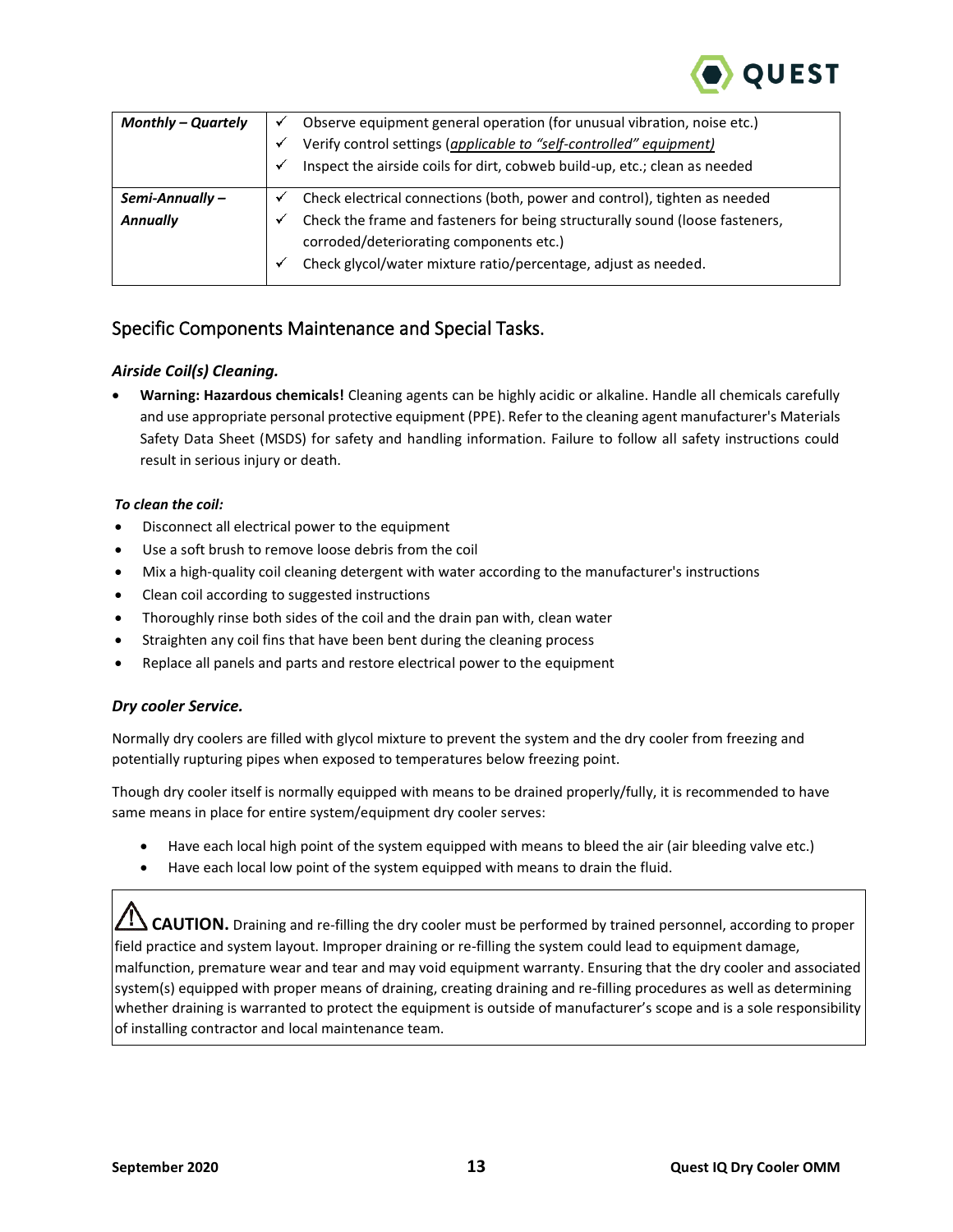

| Monthly – Quartely |   | Observe equipment general operation (for unusual vibration, noise etc.)                                                 |
|--------------------|---|-------------------------------------------------------------------------------------------------------------------------|
|                    |   | Verify control settings (applicable to "self-controlled" equipment)                                                     |
|                    | ✓ | Inspect the airside coils for dirt, cobweb build-up, etc.; clean as needed                                              |
| $Semi$ -Annually – |   | Check electrical connections (both, power and control), tighten as needed                                               |
| <b>Annually</b>    | ✔ | Check the frame and fasteners for being structurally sound (loose fasteners,<br>corroded/deteriorating components etc.) |
|                    | ✔ | Check glycol/water mixture ratio/percentage, adjust as needed.                                                          |

# <span id="page-13-0"></span>Specific Components Maintenance and Special Tasks.

# <span id="page-13-1"></span>*Airside Coil(s) Cleaning.*

• **Warning: Hazardous chemicals!** Cleaning agents can be highly acidic or alkaline. Handle all chemicals carefully and use appropriate personal protective equipment (PPE). Refer to the cleaning agent manufacturer's Materials Safety Data Sheet (MSDS) for safety and handling information. Failure to follow all safety instructions could result in serious injury or death.

### *To clean the coil:*

- Disconnect all electrical power to the equipment
- Use a soft brush to remove loose debris from the coil
- Mix a high-quality coil cleaning detergent with water according to the manufacturer's instructions
- Clean coil according to suggested instructions
- Thoroughly rinse both sides of the coil and the drain pan with, clean water
- Straighten any coil fins that have been bent during the cleaning process
- Replace all panels and parts and restore electrical power to the equipment

### <span id="page-13-2"></span>*Dry cooler Service.*

Normally dry coolers are filled with glycol mixture to prevent the system and the dry cooler from freezing and potentially rupturing pipes when exposed to temperatures below freezing point.

Though dry cooler itself is normally equipped with means to be drained properly/fully, it is recommended to have same means in place for entire system/equipment dry cooler serves:

- Have each local high point of the system equipped with means to bleed the air (air bleeding valve etc.)
- Have each local low point of the system equipped with means to drain the fluid.

**CAUTION.** Draining and re-filling the dry cooler must be performed by trained personnel, according to proper field practice and system layout. Improper draining or re-filling the system could lead to equipment damage, malfunction, premature wear and tear and may void equipment warranty. Ensuring that the dry cooler and associated system(s) equipped with proper means of draining, creating draining and re-filling procedures as well as determining whether draining is warranted to protect the equipment is outside of manufacturer's scope and is a sole responsibility of installing contractor and local maintenance team.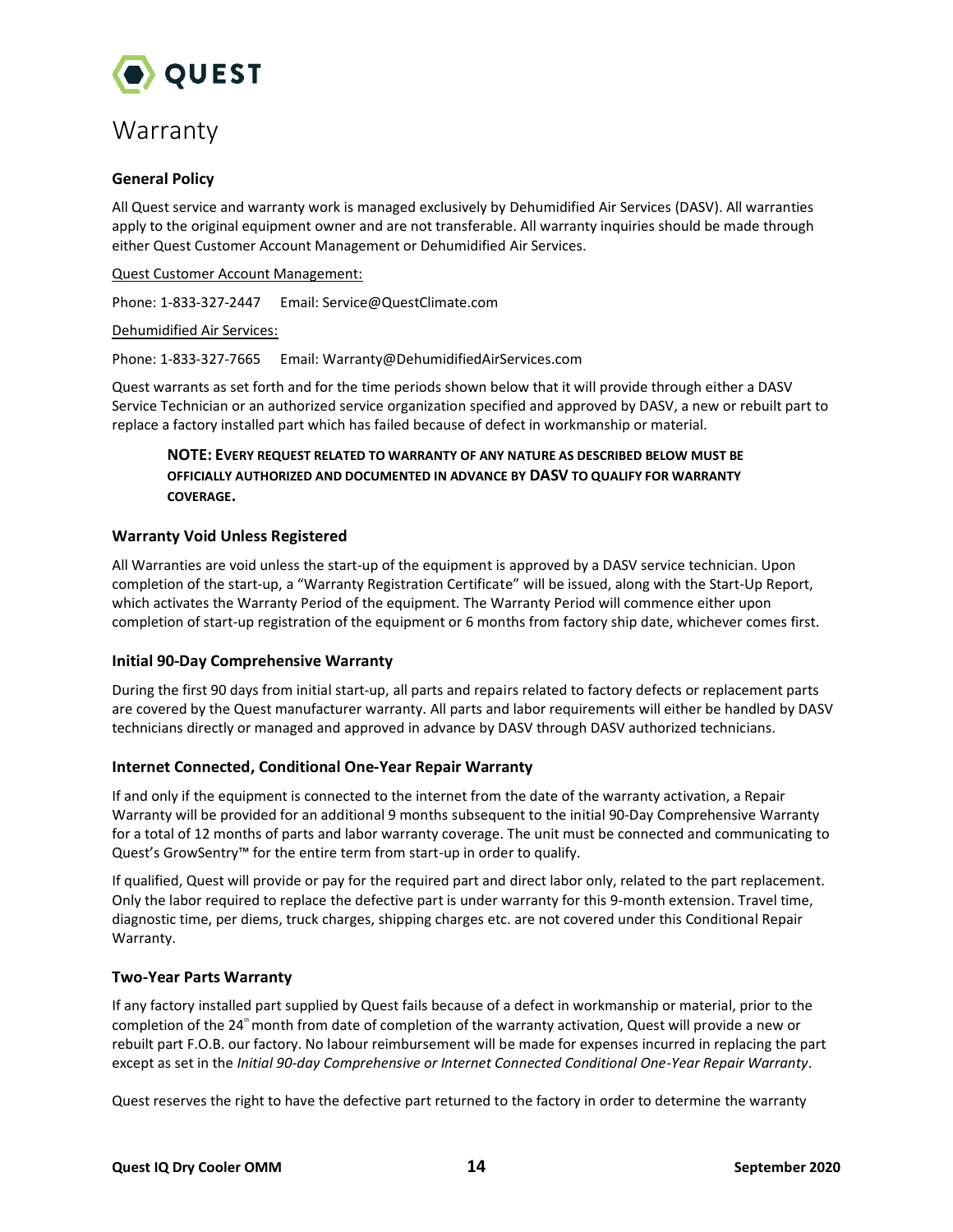

# <span id="page-14-0"></span>Warranty

### **General Policy**

All Quest service and warranty work is managed exclusively by Dehumidified Air Services (DASV). All warranties apply to the original equipment owner and are not transferable. All warranty inquiries should be made through either Quest Customer Account Management or Dehumidified Air Services.

### Quest Customer Account Management:

Phone: 1-833-327-2447 Email: Service@QuestClimate.com

### Dehumidified Air Services:

Phone: 1-833-327-7665 Email: Warranty@DehumidifiedAirServices.com

Quest warrants as set forth and for the time periods shown below that it will provide through either a DASV Service Technician or an authorized service organization specified and approved by DASV, a new or rebuilt part to replace a factory installed part which has failed because of defect in workmanship or material.

# **NOTE: EVERY REQUEST RELATED TO WARRANTY OF ANY NATURE AS DESCRIBED BELOW MUST BE OFFICIALLY AUTHORIZED AND DOCUMENTED IN ADVANCE BY DASV TO QUALIFY FOR WARRANTY COVERAGE.**

### **Warranty Void Unless Registered**

All Warranties are void unless the start‐up of the equipment is approved by a DASV service technician. Upon completion of the start-up, a "Warranty Registration Certificate" will be issued, along with the Start‐Up Report, which activates the Warranty Period of the equipment. The Warranty Period will commence either upon completion of start-up registration of the equipment or 6 months from factory ship date, whichever comes first.

### **Initial 90‐Day Comprehensive Warranty**

During the first 90 days from initial start‐up, all parts and repairs related to factory defects or replacement parts are covered by the Quest manufacturer warranty. All parts and labor requirements will either be handled by DASV technicians directly or managed and approved in advance by DASV through DASV authorized technicians.

### **Internet Connected, Conditional One-Year Repair Warranty**

If and only if the equipment is connected to the internet from the date of the warranty activation, a Repair Warranty will be provided for an additional 9 months subsequent to the initial 90-Day Comprehensive Warranty for a total of 12 months of parts and labor warranty coverage. The unit must be connected and communicating to Quest's GrowSentry<sup>™</sup> for the entire term from start-up in order to qualify.

If qualified, Quest will provide or pay for the required part and direct labor only, related to the part replacement. Only the labor required to replace the defective part is under warranty for this 9-month extension. Travel time, diagnostic time, per diems, truck charges, shipping charges etc. are not covered under this Conditional Repair Warranty.

### **Two-Year Parts Warranty**

If any factory installed part supplied by Quest fails because of a defect in workmanship or material, prior to the completion of the 24<sup>th</sup> month from date of completion of the warranty activation, Quest will provide a new or rebuilt part F.O.B. our factory. No labour reimbursement will be made for expenses incurred in replacing the part except as set in the *Initial 90‐day Comprehensive or Internet Connected Conditional One-Year Repair Warranty*.

Quest reserves the right to have the defective part returned to the factory in order to determine the warranty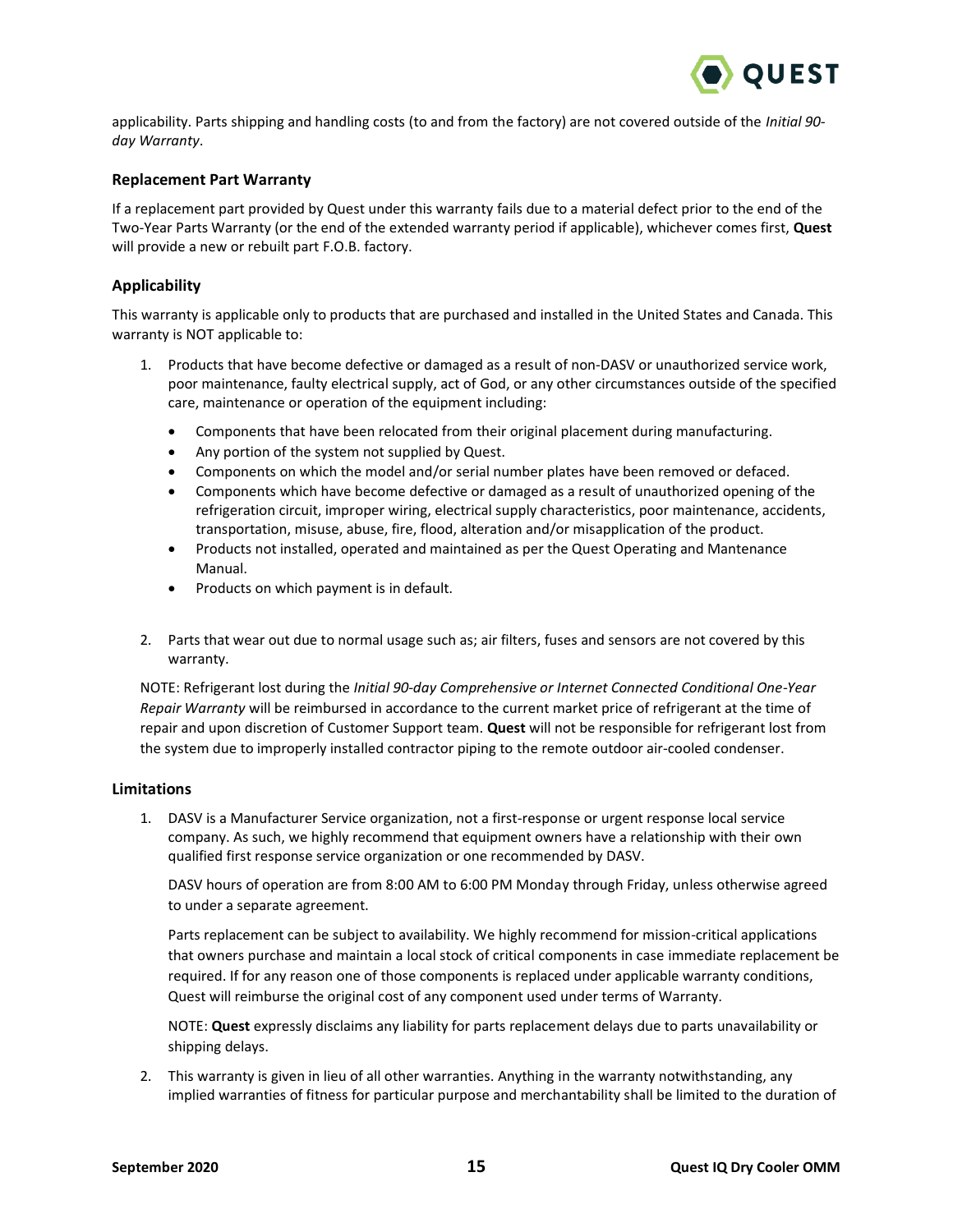

applicability. Parts shipping and handling costs (to and from the factory) are not covered outside of the *Initial 90‐ day Warranty*.

### **Replacement Part Warranty**

If a replacement part provided by Quest under this warranty fails due to a material defect prior to the end of the Two-Year Parts Warranty (or the end of the extended warranty period if applicable), whichever comes first, **Quest** will provide a new or rebuilt part F.O.B. factory.

### **Applicability**

This warranty is applicable only to products that are purchased and installed in the United States and Canada. This warranty is NOT applicable to:

- 1. Products that have become defective or damaged as a result of non-DASV or unauthorized service work, poor maintenance, faulty electrical supply, act of God, or any other circumstances outside of the specified care, maintenance or operation of the equipment including:
	- Components that have been relocated from their original placement during manufacturing.
	- Any portion of the system not supplied by Quest.
	- Components on which the model and/or serial number plates have been removed or defaced.
	- Components which have become defective or damaged as a result of unauthorized opening of the refrigeration circuit, improper wiring, electrical supply characteristics, poor maintenance, accidents, transportation, misuse, abuse, fire, flood, alteration and/or misapplication of the product.
	- Products not installed, operated and maintained as per the Quest Operating and Mantenance Manual.
	- Products on which payment is in default.
- 2. Parts that wear out due to normal usage such as; air filters, fuses and sensors are not covered by this warranty.

NOTE: Refrigerant lost during the *Initial 90‐day Comprehensive or Internet Connected Conditional One-Year Repair Warranty* will be reimbursed in accordance to the current market price of refrigerant at the time of repair and upon discretion of Customer Support team. **Quest** will not be responsible for refrigerant lost from the system due to improperly installed contractor piping to the remote outdoor air‐cooled condenser.

### **Limitations**

1. DASV is a Manufacturer Service organization, not a first-response or urgent response local service company. As such, we highly recommend that equipment owners have a relationship with their own qualified first response service organization or one recommended by DASV.

DASV hours of operation are from 8:00 AM to 6:00 PM Monday through Friday, unless otherwise agreed to under a separate agreement.

Parts replacement can be subject to availability. We highly recommend for mission-critical applications that owners purchase and maintain a local stock of critical components in case immediate replacement be required. If for any reason one of those components is replaced under applicable warranty conditions, Quest will reimburse the original cost of any component used under terms of Warranty.

NOTE: **Quest** expressly disclaims any liability for parts replacement delays due to parts unavailability or shipping delays.

2. This warranty is given in lieu of all other warranties. Anything in the warranty notwithstanding, any implied warranties of fitness for particular purpose and merchantability shall be limited to the duration of